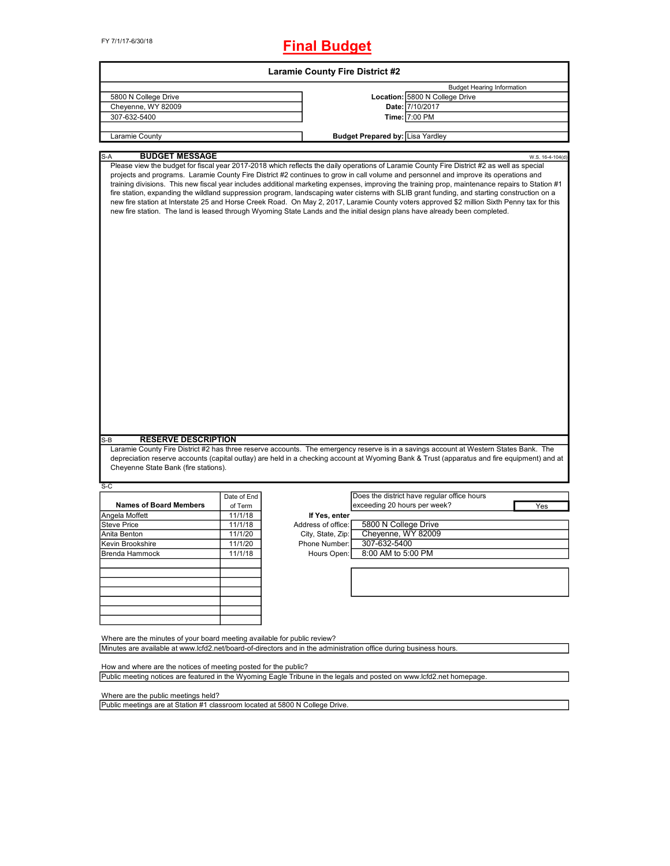# **Final Budget**

|                                                                                                                                                                                                                                                                                                                                                                                                                                                                                                                                                                                                                                                                                                                                                                                                                                                                    |             | <b>Laramie County Fire District #2</b> |                                         |                                             |                                   |
|--------------------------------------------------------------------------------------------------------------------------------------------------------------------------------------------------------------------------------------------------------------------------------------------------------------------------------------------------------------------------------------------------------------------------------------------------------------------------------------------------------------------------------------------------------------------------------------------------------------------------------------------------------------------------------------------------------------------------------------------------------------------------------------------------------------------------------------------------------------------|-------------|----------------------------------------|-----------------------------------------|---------------------------------------------|-----------------------------------|
|                                                                                                                                                                                                                                                                                                                                                                                                                                                                                                                                                                                                                                                                                                                                                                                                                                                                    |             |                                        |                                         |                                             | <b>Budget Hearing Information</b> |
| 5800 N College Drive                                                                                                                                                                                                                                                                                                                                                                                                                                                                                                                                                                                                                                                                                                                                                                                                                                               |             |                                        |                                         | Location: 5800 N College Drive              |                                   |
| Cheyenne, WY 82009                                                                                                                                                                                                                                                                                                                                                                                                                                                                                                                                                                                                                                                                                                                                                                                                                                                 |             |                                        |                                         | Date: 7/10/2017                             |                                   |
| 307-632-5400                                                                                                                                                                                                                                                                                                                                                                                                                                                                                                                                                                                                                                                                                                                                                                                                                                                       |             |                                        |                                         | Time: 7:00 PM                               |                                   |
|                                                                                                                                                                                                                                                                                                                                                                                                                                                                                                                                                                                                                                                                                                                                                                                                                                                                    |             |                                        |                                         |                                             |                                   |
| Laramie County                                                                                                                                                                                                                                                                                                                                                                                                                                                                                                                                                                                                                                                                                                                                                                                                                                                     |             |                                        | <b>Budget Prepared by: Lisa Yardley</b> |                                             |                                   |
| S-A<br><b>BUDGET MESSAGE</b>                                                                                                                                                                                                                                                                                                                                                                                                                                                                                                                                                                                                                                                                                                                                                                                                                                       |             |                                        |                                         |                                             | W.S. 16-4-104(d)                  |
| Please view the budget for fiscal year 2017-2018 which reflects the daily operations of Laramie County Fire District #2 as well as special<br>projects and programs. Laramie County Fire District #2 continues to grow in call volume and personnel and improve its operations and<br>training divisions. This new fiscal year includes additional marketing expenses, improving the training prop, maintenance repairs to Station #1<br>fire station, expanding the wildland suppression program, landscaping water cisterns with SLIB grant funding, and starting construction on a<br>new fire station at Interstate 25 and Horse Creek Road. On May 2, 2017, Laramie County voters approved \$2 million Sixth Penny tax for this<br>new fire station. The land is leased through Wyoming State Lands and the initial design plans have already been completed. |             |                                        |                                         |                                             |                                   |
|                                                                                                                                                                                                                                                                                                                                                                                                                                                                                                                                                                                                                                                                                                                                                                                                                                                                    |             |                                        |                                         |                                             |                                   |
| <b>RESERVE DESCRIPTION</b><br>S-B                                                                                                                                                                                                                                                                                                                                                                                                                                                                                                                                                                                                                                                                                                                                                                                                                                  |             |                                        |                                         |                                             |                                   |
| Laramie County Fire District #2 has three reserve accounts. The emergency reserve is in a savings account at Western States Bank. The                                                                                                                                                                                                                                                                                                                                                                                                                                                                                                                                                                                                                                                                                                                              |             |                                        |                                         |                                             |                                   |
| depreciation reserve accounts (capital outlay) are held in a checking account at Wyoming Bank & Trust (apparatus and fire equipment) and at                                                                                                                                                                                                                                                                                                                                                                                                                                                                                                                                                                                                                                                                                                                        |             |                                        |                                         |                                             |                                   |
| Cheyenne State Bank (fire stations).                                                                                                                                                                                                                                                                                                                                                                                                                                                                                                                                                                                                                                                                                                                                                                                                                               |             |                                        |                                         |                                             |                                   |
| $S-C$                                                                                                                                                                                                                                                                                                                                                                                                                                                                                                                                                                                                                                                                                                                                                                                                                                                              |             |                                        |                                         |                                             |                                   |
|                                                                                                                                                                                                                                                                                                                                                                                                                                                                                                                                                                                                                                                                                                                                                                                                                                                                    | Date of End |                                        |                                         | Does the district have regular office hours |                                   |
| <b>Names of Board Members</b>                                                                                                                                                                                                                                                                                                                                                                                                                                                                                                                                                                                                                                                                                                                                                                                                                                      | of Term     |                                        | exceeding 20 hours per week?            |                                             | Yes                               |
| Angela Moffett                                                                                                                                                                                                                                                                                                                                                                                                                                                                                                                                                                                                                                                                                                                                                                                                                                                     | 11/1/18     | If Yes, enter                          |                                         |                                             |                                   |
| <b>Steve Price</b>                                                                                                                                                                                                                                                                                                                                                                                                                                                                                                                                                                                                                                                                                                                                                                                                                                                 | 11/1/18     | Address of office:                     | 5800 N College Drive                    |                                             |                                   |
| Anita Benton                                                                                                                                                                                                                                                                                                                                                                                                                                                                                                                                                                                                                                                                                                                                                                                                                                                       | 11/1/20     | City, State, Zip:                      | Cheyenne, WY 82009                      |                                             |                                   |
| Kevin Brookshire                                                                                                                                                                                                                                                                                                                                                                                                                                                                                                                                                                                                                                                                                                                                                                                                                                                   | 11/1/20     | Phone Number:                          | 307-632-5400                            |                                             |                                   |
| Brenda Hammock                                                                                                                                                                                                                                                                                                                                                                                                                                                                                                                                                                                                                                                                                                                                                                                                                                                     | 11/1/18     | Hours Open:                            | 8:00 AM to 5:00 PM                      |                                             |                                   |
|                                                                                                                                                                                                                                                                                                                                                                                                                                                                                                                                                                                                                                                                                                                                                                                                                                                                    |             |                                        |                                         |                                             |                                   |
|                                                                                                                                                                                                                                                                                                                                                                                                                                                                                                                                                                                                                                                                                                                                                                                                                                                                    |             |                                        |                                         |                                             |                                   |
|                                                                                                                                                                                                                                                                                                                                                                                                                                                                                                                                                                                                                                                                                                                                                                                                                                                                    |             |                                        |                                         |                                             |                                   |
|                                                                                                                                                                                                                                                                                                                                                                                                                                                                                                                                                                                                                                                                                                                                                                                                                                                                    |             |                                        |                                         |                                             |                                   |
|                                                                                                                                                                                                                                                                                                                                                                                                                                                                                                                                                                                                                                                                                                                                                                                                                                                                    |             |                                        |                                         |                                             |                                   |
|                                                                                                                                                                                                                                                                                                                                                                                                                                                                                                                                                                                                                                                                                                                                                                                                                                                                    |             |                                        |                                         |                                             |                                   |
|                                                                                                                                                                                                                                                                                                                                                                                                                                                                                                                                                                                                                                                                                                                                                                                                                                                                    |             |                                        |                                         |                                             |                                   |
|                                                                                                                                                                                                                                                                                                                                                                                                                                                                                                                                                                                                                                                                                                                                                                                                                                                                    |             |                                        |                                         |                                             |                                   |
| Where are the minutes of your board meeting available for public review?                                                                                                                                                                                                                                                                                                                                                                                                                                                                                                                                                                                                                                                                                                                                                                                           |             |                                        |                                         |                                             |                                   |
| Minutes are available at www.lcfd2.net/board-of-directors and in the administration office during business hours.                                                                                                                                                                                                                                                                                                                                                                                                                                                                                                                                                                                                                                                                                                                                                  |             |                                        |                                         |                                             |                                   |
|                                                                                                                                                                                                                                                                                                                                                                                                                                                                                                                                                                                                                                                                                                                                                                                                                                                                    |             |                                        |                                         |                                             |                                   |
| How and where are the notices of meeting posted for the public?                                                                                                                                                                                                                                                                                                                                                                                                                                                                                                                                                                                                                                                                                                                                                                                                    |             |                                        |                                         |                                             |                                   |
| Public meeting notices are featured in the Wyoming Eagle Tribune in the legals and posted on www.lcfd2.net homepage.                                                                                                                                                                                                                                                                                                                                                                                                                                                                                                                                                                                                                                                                                                                                               |             |                                        |                                         |                                             |                                   |

Where are the public meetings held?

Public meetings are at Station #1 classroom located at 5800 N College Drive.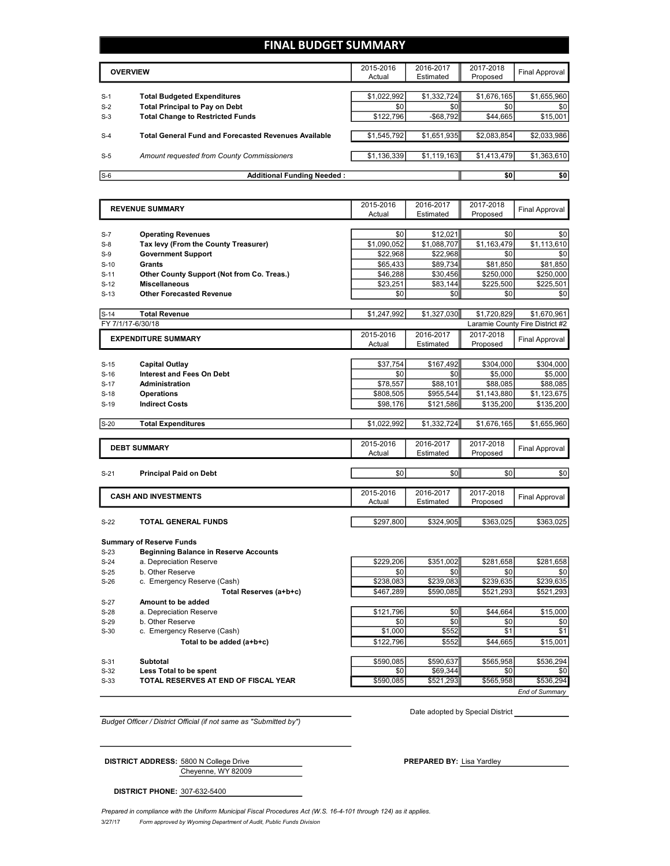## **FINAL BUDGET SUMMARY**

|       | <b>OVERVIEW</b>                                             |             | 2016-2017<br>Estimated | 2017-2018<br>Proposed | Final Approval |
|-------|-------------------------------------------------------------|-------------|------------------------|-----------------------|----------------|
|       |                                                             |             |                        |                       |                |
| $S-1$ | <b>Total Budgeted Expenditures</b>                          | \$1,022,992 | \$1,332,724            | \$1,676,165           | \$1,655,960    |
| $S-2$ | <b>Total Principal to Pay on Debt</b>                       | \$0         | \$0                    | \$0                   | \$0            |
| $S-3$ | <b>Total Change to Restricted Funds</b>                     | \$122.796   | $-$ \$68,792           | \$44,665              | \$15,001       |
|       |                                                             |             |                        |                       |                |
| $S-4$ | <b>Total General Fund and Forecasted Revenues Available</b> | \$1,545,792 | \$1,651,935            | \$2,083,854           | \$2,033,986    |
|       |                                                             |             |                        |                       |                |
| $S-5$ | Amount requested from County Commissioners                  | \$1,136,339 | \$1,119,163            | \$1,413,479           | \$1,363,610    |
|       |                                                             |             |                        |                       |                |
| $S-6$ | <b>Additional Funding Needed:</b>                           |             |                        | \$0                   | \$0            |

|                            | <b>REVENUE SUMMARY</b>                       | 2015-2016<br>Actual | 2016-2017<br>Estimated | 2017-2018<br>Proposed | <b>Final Approval</b>           |
|----------------------------|----------------------------------------------|---------------------|------------------------|-----------------------|---------------------------------|
|                            |                                              |                     |                        |                       |                                 |
| $S-7$                      | <b>Operating Revenues</b>                    | \$0                 | \$12,021               | \$0                   | \$0                             |
| $S-8$                      | Tax levy (From the County Treasurer)         | \$1,090,052         | \$1,088,707            | \$1,163,479           | \$1,113,610                     |
| $S-9$                      | <b>Government Support</b>                    | \$22,968            | \$22,968               | \$0                   | \$0                             |
| $S-10$                     | <b>Grants</b>                                | \$65,433            | \$89,734               | \$81,850              | \$81,850                        |
| $S-11$                     | Other County Support (Not from Co. Treas.)   | \$46,288            | \$30,456               | \$250,000             | \$250,000                       |
| $S-12$                     | <b>Miscellaneous</b>                         | \$23,251            | \$83,144               | \$225,500             | \$225,501                       |
| $S-13$                     | <b>Other Forecasted Revenue</b>              | \$0                 | \$0                    | \$0                   | \$0                             |
|                            |                                              |                     |                        |                       |                                 |
| $S-14$                     | <b>Total Revenue</b>                         | \$1,247,992         | \$1,327,030            | \$1,720,829           | \$1,670,961                     |
|                            | FY 7/1/17-6/30/18                            |                     |                        |                       | Laramie County Fire District #2 |
| <b>EXPENDITURE SUMMARY</b> |                                              | 2015-2016           | 2016-2017              | 2017-2018             | Final Approval                  |
|                            |                                              | Actual              | Estimated              | Proposed              |                                 |
|                            |                                              |                     |                        |                       |                                 |
| $S-15$                     | <b>Capital Outlay</b>                        | \$37,754            | \$167,492              | \$304,000             | \$304,000                       |
| $S-16$                     | <b>Interest and Fees On Debt</b>             | \$0                 | \$0                    | \$5,000               | \$5,000                         |
| $S-17$                     | <b>Administration</b>                        | \$78,557            | \$88,101               | \$88,085              | \$88,085                        |
| $S-18$                     | <b>Operations</b>                            | \$808,505           | \$955,544              | \$1,143,880           | \$1,123,675                     |
| $S-19$                     | <b>Indirect Costs</b>                        | \$98,176            | \$121,586              | \$135,200             | \$135,200                       |
| $S-20$                     | <b>Total Expenditures</b>                    | \$1,022,992         | \$1,332,724            | \$1,676,165           | \$1,655,960                     |
|                            |                                              |                     |                        |                       |                                 |
|                            |                                              | 2015-2016           | 2016-2017              | 2017-2018             |                                 |
|                            |                                              |                     |                        |                       |                                 |
|                            | <b>DEBT SUMMARY</b>                          | Actual              | Estimated              | Proposed              | <b>Final Approval</b>           |
|                            |                                              |                     |                        |                       |                                 |
| $S-21$                     | <b>Principal Paid on Debt</b>                | \$0                 | \$0                    | \$0                   | \$0                             |
|                            |                                              |                     |                        |                       |                                 |
|                            | <b>CASH AND INVESTMENTS</b>                  | 2015-2016<br>Actual | 2016-2017<br>Estimated | 2017-2018<br>Proposed | <b>Final Approval</b>           |
|                            |                                              |                     |                        |                       |                                 |
| $S-22$                     | <b>TOTAL GENERAL FUNDS</b>                   | \$297,800           | \$324,905              | \$363,025             | \$363,025                       |
|                            |                                              |                     |                        |                       |                                 |
|                            | <b>Summary of Reserve Funds</b>              |                     |                        |                       |                                 |
| $S-23$                     | <b>Beginning Balance in Reserve Accounts</b> |                     |                        |                       |                                 |
| $S-24$                     | a. Depreciation Reserve                      | \$229,206           | \$351,002              | \$281,658             | \$281,658                       |
| $S-25$                     | b. Other Reserve                             | \$0                 | \$0                    | \$0                   | \$0                             |
| $S-26$                     | c. Emergency Reserve (Cash)                  | \$238,083           | \$239,083              | \$239,635             | \$239,635                       |
|                            | Total Reserves (a+b+c)                       | \$467,289           | \$590.085              | \$521,293             | \$521,293                       |
| $S-27$                     | Amount to be added                           |                     |                        |                       |                                 |
| $S-28$                     | a. Depreciation Reserve                      | \$121,796           | \$0                    | \$44.664              | \$15,000                        |
| $S-29$                     | b. Other Reserve                             | \$0                 | \$0                    | \$0                   | \$0                             |
| $S-30$                     | c. Emergency Reserve (Cash)                  | \$1,000             | \$552                  | \$1                   | \$1                             |
|                            | Total to be added (a+b+c)                    | \$122,796           | \$552                  | \$44,665              | \$15,001                        |
|                            |                                              |                     |                        |                       |                                 |
| $S-31$<br>$S-32$           | Subtotal<br>Less Total to be spent           | \$590,085<br>\$0    | \$590,637<br>\$69.344  | \$565,958<br>\$0      | \$536,294<br>\$0                |

*Budget Officer / District Official (if not same as "Submitted by")*

Date adopted by Special District

*End of Summary*

Cheyenne, WY 82009 **DISTRICT ADDRESS:** 5800 N College Drive **PREPARED BY:** Lisa Yardley

**DISTRICT PHONE:** 307-632-5400

3/27/17 *Form approved by Wyoming Department of Audit, Public Funds Division* Prepared in compliance with the Uniform Municipal Fiscal Procedures Act (W.S. 16-4-101 through 124) as it applies.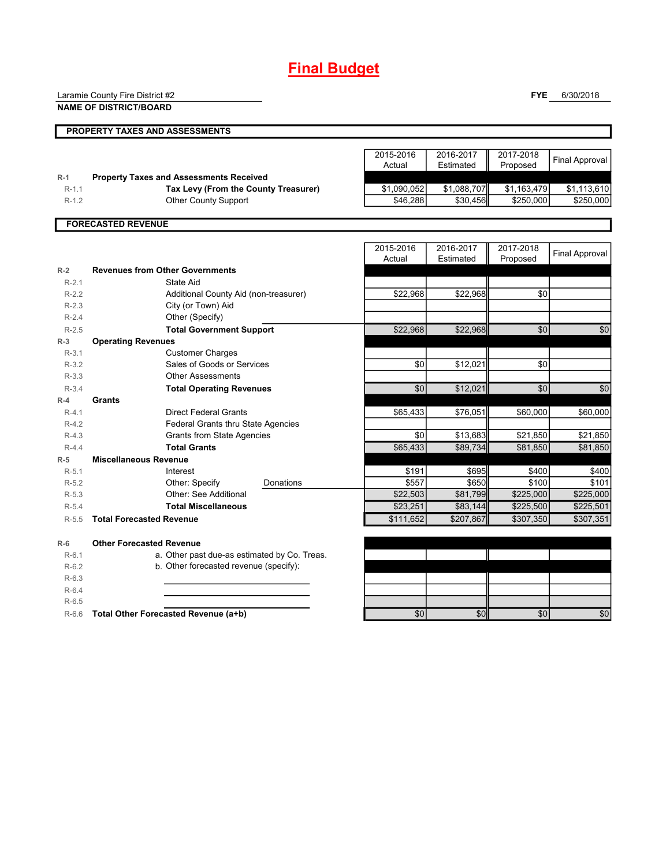# **Final Budget**

Laramie County Fire District #2

**NAME OF DISTRICT/BOARD**

**FYE** 6/30/2018

|                | <b>PROPERTY TAXES AND ASSESSMENTS</b>          |                     |                        |                       |                       |
|----------------|------------------------------------------------|---------------------|------------------------|-----------------------|-----------------------|
|                |                                                |                     |                        |                       |                       |
|                |                                                | 2015-2016<br>Actual | 2016-2017<br>Estimated | 2017-2018<br>Proposed | <b>Final Approval</b> |
| $R-1$          | <b>Property Taxes and Assessments Received</b> |                     |                        |                       |                       |
| $R-1.1$        | Tax Levy (From the County Treasurer)           | \$1,090,052         | \$1,088,707            | \$1,163,479           | \$1,113,610           |
| $R-1.2$        | <b>Other County Support</b>                    | \$46,288            | \$30,456               | \$250,000             | \$250,000             |
|                |                                                |                     |                        |                       |                       |
|                | <b>FORECASTED REVENUE</b>                      |                     |                        |                       |                       |
|                |                                                |                     |                        |                       |                       |
|                |                                                | 2015-2016<br>Actual | 2016-2017<br>Estimated | 2017-2018<br>Proposed | <b>Final Approval</b> |
| $R-2$          | <b>Revenues from Other Governments</b>         |                     |                        |                       |                       |
| $R-2.1$        | State Aid                                      |                     |                        |                       |                       |
| $R - 2.2$      | Additional County Aid (non-treasurer)          | \$22,968            | \$22,968               | \$0                   |                       |
| D <sub>0</sub> | $Cth$ (or $TQ$ um) Aid                         |                     |                        |                       |                       |

| R-2.2   | Additional County Aid (non-treasurer)        | \$22,968  | \$22,968  | \$UI      |           |
|---------|----------------------------------------------|-----------|-----------|-----------|-----------|
| $R-2.3$ | City (or Town) Aid                           |           |           |           |           |
| $R-2.4$ | Other (Specify)                              |           |           |           |           |
| $R-2.5$ | <b>Total Government Support</b>              | \$22,968  | \$22,968  | \$0       | \$0       |
| $R-3$   | <b>Operating Revenues</b>                    |           |           |           |           |
| $R-3.1$ | <b>Customer Charges</b>                      |           |           |           |           |
| $R-3.2$ | Sales of Goods or Services                   | \$0       | \$12,021  | \$0       |           |
| $R-3.3$ | <b>Other Assessments</b>                     |           |           |           |           |
| $R-3.4$ | <b>Total Operating Revenues</b>              | \$0       | \$12,021  | \$0       | \$0       |
| $R-4$   | <b>Grants</b>                                |           |           |           |           |
| $R-4.1$ | Direct Federal Grants                        | \$65,433  | \$76,051  | \$60,000  | \$60,000  |
| $R-4.2$ | <b>Federal Grants thru State Agencies</b>    |           |           |           |           |
| $R-4.3$ | <b>Grants from State Agencies</b>            | \$0       | \$13,683  | \$21,850  | \$21,850  |
| $R-4.4$ | <b>Total Grants</b>                          | \$65,433  | \$89,734  | \$81,850  | \$81,850  |
| $R-5$   | <b>Miscellaneous Revenue</b>                 |           |           |           |           |
| $R-5.1$ | Interest                                     | \$191     | \$695     | \$400     | \$400     |
| $R-5.2$ | Other: Specify<br>Donations                  | \$557     | \$650     | \$100     | \$101     |
| $R-5.3$ | Other: See Additional                        | \$22,503  | \$81,799  | \$225,000 | \$225,000 |
| $R-5.4$ | <b>Total Miscellaneous</b>                   | \$23,251  | \$83,144  | \$225,500 | \$225,501 |
| $R-5.5$ | <b>Total Forecasted Revenue</b>              | \$111,652 | \$207,867 | \$307,350 | \$307,351 |
| $R-6$   | <b>Other Forecasted Revenue</b>              |           |           |           |           |
| $R-6.1$ | a. Other past due-as estimated by Co. Treas. |           |           |           |           |
| $R-6.2$ | b. Other forecasted revenue (specify):       |           |           |           |           |
| $R-6.3$ |                                              |           |           |           |           |
| $R-6.4$ |                                              |           |           |           |           |
| $R-6.5$ |                                              |           |           |           |           |
| $R-6.6$ | Total Other Forecasted Revenue (a+b)         | \$0       | \$0       | \$0       | \$0       |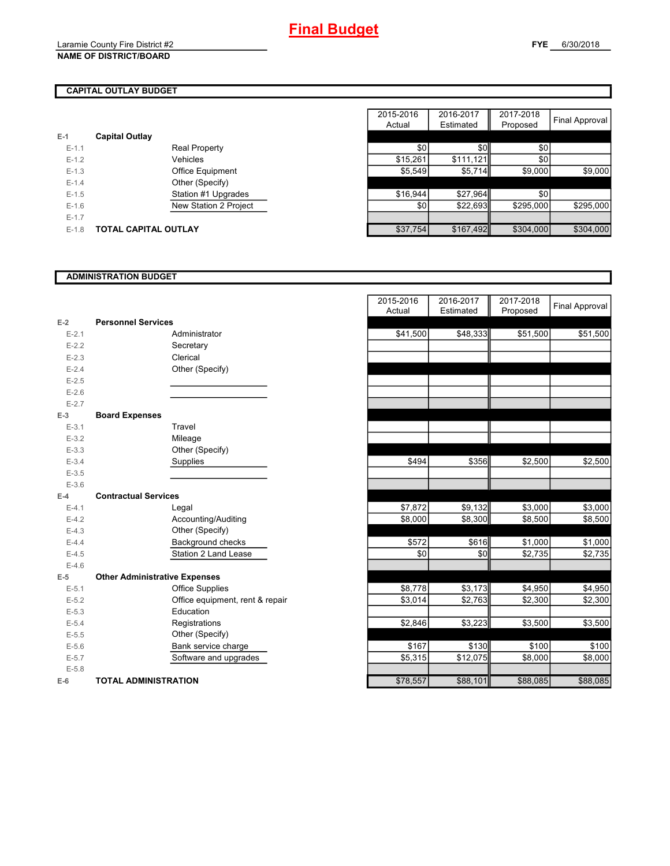# **CAPITAL OUTLAY BUDGET**

| $E-1$     | <b>Capital Outlay</b> |                              |
|-----------|-----------------------|------------------------------|
| $E - 1.1$ |                       | <b>Real Property</b>         |
| $F-12$    |                       | Vehicles                     |
| $F-1.3$   |                       | <b>Office Equipment</b>      |
| $F-14$    |                       | Other (Specify)              |
| $F-1.5$   |                       | Station #1 Upgrades          |
| $F-16$    |                       | <b>New Station 2 Project</b> |
| $E - 1.7$ |                       |                              |
| $F-1.8$   | TOTAL CAPITAL OUTLAY  |                              |

|         |                             |                         | 2015-2016 | 2016-2017 | 2017-2018 |                |
|---------|-----------------------------|-------------------------|-----------|-----------|-----------|----------------|
|         |                             |                         | Actual    | Estimated | Proposed  | Final Approval |
|         | <b>Capital Outlay</b>       |                         |           |           |           |                |
| $E-1.1$ |                             | <b>Real Property</b>    | \$0       | \$0       | \$0       |                |
| $E-1.2$ |                             | Vehicles                | \$15,261  | \$111.121 | \$0       |                |
| $E-1.3$ |                             | <b>Office Equipment</b> | \$5,549   | \$5,714   | \$9,000   | \$9,000        |
| $E-1.4$ |                             | Other (Specify)         |           |           |           |                |
| $E-1.5$ |                             | Station #1 Upgrades     | \$16,944  | \$27,964  | \$0       |                |
| $E-1.6$ |                             | New Station 2 Project   | \$0       | \$22.693  | \$295.000 | \$295,000      |
| $E-1.7$ |                             |                         |           |           |           |                |
| $E-1.8$ | <b>TOTAL CAPITAL OUTLAY</b> |                         | \$37,754  | \$167,492 | \$304,000 | \$304,000      |

### **ADMINISTRATION BUDGET**

| $E-2$     | <b>Personnel Services</b>            |                              |
|-----------|--------------------------------------|------------------------------|
| $E - 2.1$ |                                      | Administrator                |
| $E - 2.2$ |                                      | Secretary                    |
| $E - 2.3$ |                                      | Clerical                     |
| $E - 2.4$ |                                      | Other (Specify)              |
| $E - 2.5$ |                                      |                              |
| $E-2.6$   |                                      |                              |
| $E - 2.7$ |                                      |                              |
| $E-3$     | <b>Board Expenses</b>                |                              |
| $E - 3.1$ |                                      | Travel                       |
| $E - 3.2$ |                                      | Mileage                      |
| $E - 3.3$ |                                      | Other (Specify)              |
| $E - 3.4$ |                                      | Supplies                     |
| $E - 3.5$ |                                      |                              |
| $E - 3.6$ |                                      |                              |
| $E-4$     | <b>Contractual Services</b>          |                              |
| $E - 4.1$ |                                      | Legal                        |
| $E - 4.2$ |                                      | Accounting/Auditing          |
| $E-4.3$   |                                      | Other (Specify)              |
| $E-4.4$   |                                      | Background checks            |
| $E-4.5$   |                                      | <b>Station 2 Land Lease</b>  |
| $F-46$    |                                      |                              |
| F-5       | <b>Other Administrative Expenses</b> |                              |
| $E - 5.1$ |                                      | <b>Office Supplies</b>       |
| $E - 5.2$ |                                      | Office equipment, rent & rep |
| $E - 5.3$ |                                      | Education                    |
| $E - 5.4$ |                                      | Registrations                |
| $E - 5.5$ |                                      | Other (Specify)              |
| $E - 5.6$ |                                      | Bank service charge          |
| $E - 5.7$ |                                      | Software and upgrades        |
| $E - 5.8$ |                                      |                              |
| $E-6$     | TOTAL ADMINISTRATION                 |                              |

|                          |                                      | 2015-2016<br>Actual | 2016-2017<br>Estimated | 2017-2018<br>Proposed | <b>Final Approval</b> |
|--------------------------|--------------------------------------|---------------------|------------------------|-----------------------|-----------------------|
| 2                        | <b>Personnel Services</b>            |                     |                        |                       |                       |
| $E - 2.1$                | Administrator                        | \$41,500            | \$48,333               | \$51,500              | \$51,500              |
| $E - 2.2$                | Secretary                            |                     |                        |                       |                       |
| $E - 2.3$                | Clerical                             |                     |                        |                       |                       |
| $E - 2.4$                | Other (Specify)                      |                     |                        |                       |                       |
| $E-2.5$                  |                                      |                     |                        |                       |                       |
| $E - 2.6$                |                                      |                     |                        |                       |                       |
| $E - 2.7$                |                                      |                     |                        |                       |                       |
| $\overline{\phantom{a}}$ | <b>Board Expenses</b>                |                     |                        |                       |                       |
| $E-3.1$                  | Travel                               |                     |                        |                       |                       |
| $E - 3.2$                | Mileage                              |                     |                        |                       |                       |
| $E - 3.3$                | Other (Specify)                      |                     |                        |                       |                       |
| $E - 3.4$                | Supplies                             | \$494               | \$356                  | \$2,500               | \$2,500               |
| $E - 3.5$                |                                      |                     |                        |                       |                       |
| $E - 3.6$                |                                      |                     |                        |                       |                       |
| ļ.                       | <b>Contractual Services</b>          |                     |                        |                       |                       |
| $E - 4.1$                | Legal                                | \$7,872             | \$9,132                | \$3,000               | \$3,000               |
| $E - 4.2$                | Accounting/Auditing                  | \$8,000             | \$8,300                | \$8,500               | \$8,500               |
| $E-4.3$                  | Other (Specify)                      |                     |                        |                       |                       |
| $E - 4.4$                | Background checks                    | \$572               | \$616                  | \$1,000               | \$1,000               |
| $E-4.5$                  | Station 2 Land Lease                 | \$0                 | \$0                    | \$2,735               | \$2,735               |
| $E - 4.6$                |                                      |                     |                        |                       |                       |
| $\overline{\phantom{a}}$ | <b>Other Administrative Expenses</b> |                     |                        |                       |                       |
| $E - 5.1$                | <b>Office Supplies</b>               | \$8,778             | \$3,173                | \$4,950               | \$4,950               |
| $E - 5.2$                | Office equipment, rent & repair      | \$3,014             | \$2,763                | \$2,300               | \$2,300               |
| $E - 5.3$                | Education                            |                     |                        |                       |                       |
| $E - 5.4$                | Registrations                        | \$2,846             | \$3,223                | \$3,500               | \$3,500               |
| $E - 5.5$                | Other (Specify)                      |                     |                        |                       |                       |
| $E - 5.6$                | Bank service charge                  | \$167               | \$130                  | \$100                 | \$100                 |
| $E - 5.7$                | Software and upgrades                | \$5,315             | \$12,075               | \$8,000               | \$8,000               |
| $E - 5.8$                |                                      |                     |                        |                       |                       |
| î                        | <b>TOTAL ADMINISTRATION</b>          | \$78,557            | \$88,101               | \$88,085              | \$88,085              |
|                          |                                      |                     |                        |                       |                       |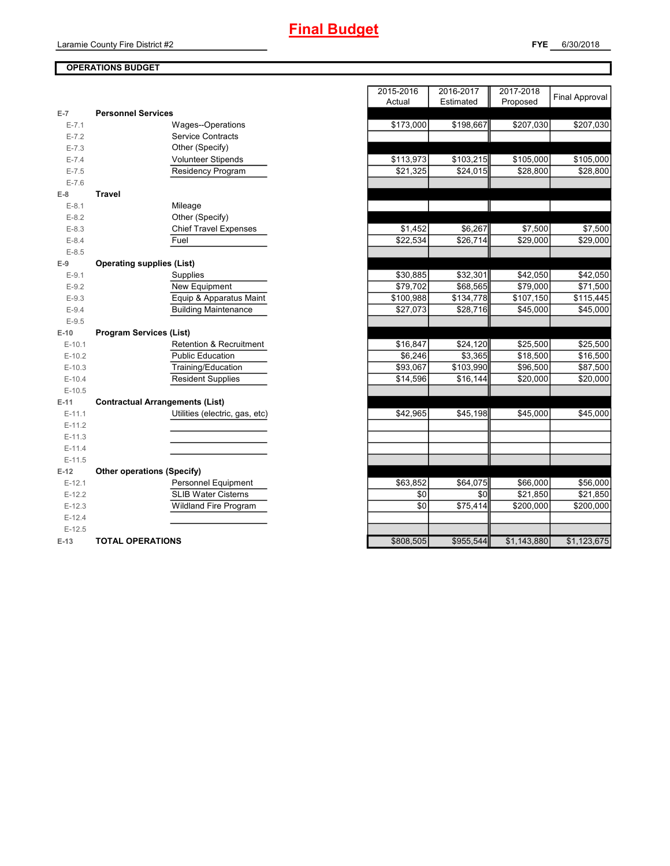## **OPERATIONS BUDGET**

| E-7       | <b>Personnel Services</b>              |
|-----------|----------------------------------------|
| $E - 7.1$ | Wages--Operations                      |
| $E - 7.2$ | <b>Service Contracts</b>               |
| $E - 7.3$ | Other (Specify)                        |
| $E - 7.4$ | Volunteer Stipends                     |
| $E - 7.5$ | Residency Program                      |
| $E - 7.6$ |                                        |
| $E-8$     | Travel                                 |
| $E-8.1$   | Mileage                                |
| $E-8.2$   | Other (Specify)                        |
| $E - 8.3$ | <b>Chief Travel Expenses</b>           |
| $E - 8.4$ | Fuel                                   |
| $E - 8.5$ |                                        |
| $E-9$     | <b>Operating supplies (List)</b>       |
| $E-9.1$   | Supplies                               |
| $E-9.2$   | New Equipment                          |
| $E-9.3$   | Equip & Apparatus Maint                |
| $E-9.4$   | <b>Building Maintenance</b>            |
| $E-9.5$   |                                        |
|           |                                        |
| $E-10$    | <b>Program Services (List)</b>         |
| $E-10.1$  | <b>Retention &amp; Recruitment</b>     |
| $E-10.2$  | <b>Public Education</b>                |
| $E-10.3$  | Training/Education                     |
| $E-10.4$  | <b>Resident Supplies</b>               |
| $E-10.5$  |                                        |
| $E-11$    | <b>Contractual Arrangements (List)</b> |
| $E-11.1$  | Utilities (electric, gas, etc)         |
| $E-11.2$  |                                        |
| $E-11.3$  |                                        |
| $E-11.4$  |                                        |
| $E-11.5$  |                                        |
| $E-12$    | <b>Other operations (Specify)</b>      |
| $E-12.1$  | Personnel Equipment                    |
| $E-12.2$  | <b>SLIB Water Cisterns</b>             |
| $E-12.3$  | <b>Wildland Fire Program</b>           |
| $E-12.4$  |                                        |
| $E-12.5$  |                                        |

|           |                                        | 2015-2016 | 2016-2017             | 2017-2018   | <b>Final Approval</b> |
|-----------|----------------------------------------|-----------|-----------------------|-------------|-----------------------|
| 7         | <b>Personnel Services</b>              | Actual    | Estimated             | Proposed    |                       |
| $E - 7.1$ | Wages--Operations                      | \$173,000 | \$198,667             | \$207,030   | \$207,030             |
| $E - 7.2$ | <b>Service Contracts</b>               |           |                       |             |                       |
| $E - 7.3$ | Other (Specify)                        |           |                       |             |                       |
| $E - 7.4$ | Volunteer Stipends                     | \$113,973 | $\overline{$}103,215$ | \$105,000   | \$105,000             |
| $E - 7.5$ | <b>Residency Program</b>               | \$21,325  | \$24,015              | \$28,800    | \$28,800              |
| $E - 7.6$ |                                        |           |                       |             |                       |
| 8         | <b>Travel</b>                          |           |                       |             |                       |
| $E-8.1$   | Mileage                                |           |                       |             |                       |
| $E-8.2$   | Other (Specify)                        |           |                       |             |                       |
| $E - 8.3$ | <b>Chief Travel Expenses</b>           | \$1,452   | \$6,267               | \$7,500     | \$7,500               |
| $E - 8.4$ | Fuel                                   | \$22,534  | \$26,714              | \$29,000    | \$29,000              |
| $E-8.5$   |                                        |           |                       |             |                       |
| 9         | <b>Operating supplies (List)</b>       |           |                       |             |                       |
| $E-9.1$   | Supplies                               | \$30,885  | \$32,301              | \$42,050    | \$42,050              |
| $E-9.2$   | New Equipment                          | \$79,702  | \$68,565              | \$79,000    | \$71,500              |
| $E-9.3$   | Equip & Apparatus Maint                | \$100,988 | \$134,778             | \$107,150   | \$115,445             |
| $E-9.4$   | <b>Building Maintenance</b>            | \$27,073  | \$28,716              | \$45,000    | \$45,000              |
| $E-9.5$   |                                        |           |                       |             |                       |
| 10        | <b>Program Services (List)</b>         |           |                       |             |                       |
| $E-10.1$  | Retention & Recruitment                | \$16,847  | \$24,120              | \$25,500    | \$25,500              |
| $E-10.2$  | <b>Public Education</b>                | \$6,246   | \$3,365               | \$18,500    | \$16,500              |
| $E-10.3$  | Training/Education                     | \$93,067  | \$103,990             | \$96,500    | \$87,500              |
| $E-10.4$  | <b>Resident Supplies</b>               | \$14,596  | \$16,144              | \$20,000    | \$20,000              |
| $E-10.5$  |                                        |           |                       |             |                       |
| 11        | <b>Contractual Arrangements (List)</b> |           |                       |             |                       |
| $E-11.1$  | Utilities (electric, gas, etc)         | \$42,965  | \$45,198              | \$45,000    | \$45,000              |
| $E-11.2$  |                                        |           |                       |             |                       |
| $E-11.3$  |                                        |           |                       |             |                       |
| $E-11.4$  |                                        |           |                       |             |                       |
| $E-11.5$  |                                        |           |                       |             |                       |
| 12        | <b>Other operations (Specify)</b>      |           |                       |             |                       |
| $E-12.1$  | Personnel Equipment                    | \$63,852  | \$64,075              | \$66,000    | \$56,000              |
| $E-12.2$  | <b>SLIB Water Cisterns</b>             | \$0       | \$0                   | \$21,850    | \$21,850              |
| $E-12.3$  | <b>Wildland Fire Program</b>           | \$0       | \$75,414              | \$200,000   | \$200.000             |
| $E-12.4$  |                                        |           |                       |             |                       |
| $E-12.5$  |                                        |           |                       |             |                       |
| 13        | <b>TOTAL OPERATIONS</b>                | \$808,505 | \$955.544             | \$1.143.880 | \$1.123.675           |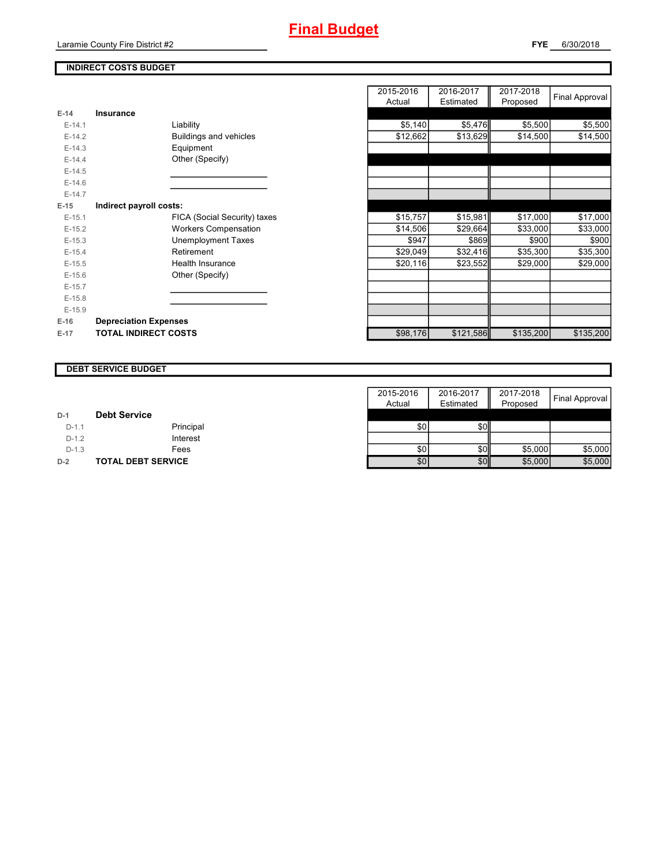## **INDIRECT COSTS BUDGET**

| $E-14$   | Insurance                     |
|----------|-------------------------------|
| $E-14.1$ | Liability                     |
| $F-142$  | <b>Buildings and vehicles</b> |
| $E-14.3$ | Equipment                     |
| $F-144$  | Other (Specify)               |
| $F-14.5$ |                               |
| $E-14.6$ |                               |
| $F-147$  |                               |
| E-15     | Indirect payroll costs:       |
| $E-15.1$ | FICA (Social Security) taxes  |
| $E-15.2$ | <b>Workers Compensation</b>   |
| $F-15.3$ | <b>Unemployment Taxes</b>     |
| $E-15.4$ | Retirement                    |
| $E-15.5$ | <b>Health Insurance</b>       |
| $F-156$  | Other (Specify)               |
| $E-15.7$ |                               |
| $E-15.8$ |                               |
| $E-15.9$ |                               |
| $E-16$   | <b>Depreciation Expenses</b>  |
| $E-17$   | <b>TOTAL INDIRECT COSTS</b>   |

|          |                              | 2015-2016<br>Actual | 2016-2017<br>Estimated | 2017-2018<br>Proposed | Final Approval |
|----------|------------------------------|---------------------|------------------------|-----------------------|----------------|
| $E-14$   | <b>Insurance</b>             |                     |                        |                       |                |
| $E-14.1$ | Liability                    | \$5,140             | \$5,476                | \$5,500               | \$5,500        |
| $E-14.2$ | Buildings and vehicles       | \$12,662            | \$13,629               | \$14,500              | \$14,500       |
| $E-14.3$ | Equipment                    |                     |                        |                       |                |
| $E-14.4$ | Other (Specify)              |                     |                        |                       |                |
| $E-14.5$ |                              |                     |                        |                       |                |
| $E-14.6$ |                              |                     |                        |                       |                |
| $E-14.7$ |                              |                     |                        |                       |                |
| $E-15$   | Indirect payroll costs:      |                     |                        |                       |                |
| $E-15.1$ | FICA (Social Security) taxes | \$15,757            | \$15,981               | \$17,000              | \$17,000       |
| $E-15.2$ | <b>Workers Compensation</b>  | \$14,506            | \$29,664               | \$33,000              | \$33,000       |
| $E-15.3$ | <b>Unemployment Taxes</b>    | \$947               | \$869                  | \$900                 | \$900          |
| $E-15.4$ | Retirement                   | \$29,049            | \$32,416               | \$35,300              | \$35,300       |
| $E-15.5$ | Health Insurance             | \$20,116            | \$23,552               | \$29,000              | \$29,000       |
| $E-15.6$ | Other (Specify)              |                     |                        |                       |                |
| $E-15.7$ |                              |                     |                        |                       |                |
| $E-15.8$ |                              |                     |                        |                       |                |
| $E-15.9$ |                              |                     |                        |                       |                |
| $E-16$   | <b>Depreciation Expenses</b> |                     |                        |                       |                |
| E-17     | <b>TOTAL INDIRECT COSTS</b>  | \$98,176            | \$121,586              | \$135,200             | \$135,200      |
|          |                              |                     |                        |                       |                |

#### **DEBT SERVICE BUDGET**

|         |                           | 2015-2016 | 2016-2017        | 2017-2018 |                |
|---------|---------------------------|-----------|------------------|-----------|----------------|
|         |                           | Actual    | Estimated        | Proposed  | Final Approval |
| $D-1$   | <b>Debt Service</b>       |           |                  |           |                |
| $D-1.1$ | Principal                 | \$0       | \$0 <sub>l</sub> |           |                |
| $D-1.2$ | Interest                  |           |                  |           |                |
| $D-1.3$ | Fees                      | \$0       | \$0 <sub>l</sub> | \$5,000   | \$5,000        |
| $D-2$   | <b>TOTAL DEBT SERVICE</b> | \$0       | \$0              | \$5,000   | \$5,000        |